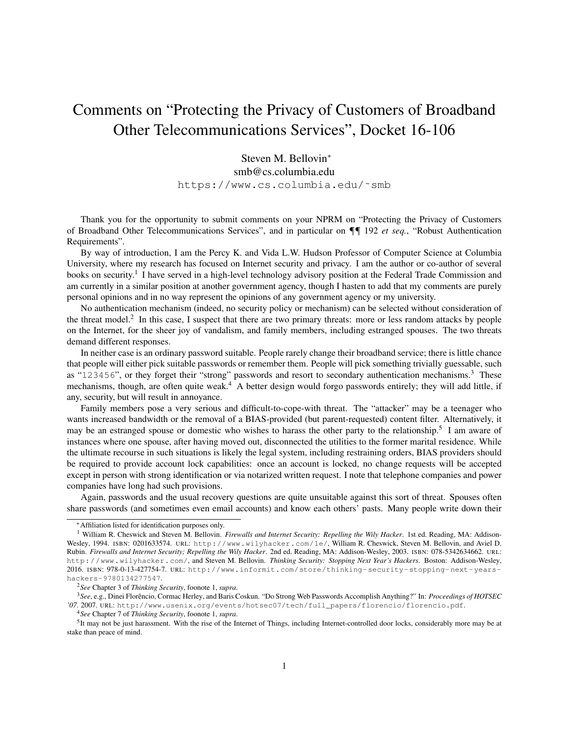## Comments on "Protecting the Privacy of Customers of Broadband Other Telecommunications Services", Docket 16-106

Steven M. Bellovin<sup>∗</sup> smb@cs.columbia.edu https://www.cs.columbia.edu/˜smb

Thank you for the opportunity to submit comments on your NPRM on "Protecting the Privacy of Customers of Broadband Other Telecommunications Services", and in particular on ¶¶ 192 *et seq.*, "Robust Authentication Requirements".

By way of introduction, I am the Percy K. and Vida L.W. Hudson Professor of Computer Science at Columbia University, where my research has focused on Internet security and privacy. I am the author or co-author of several books on security.<sup>1</sup> I have served in a high-level technology advisory position at the Federal Trade Commission and am currently in a similar position at another government agency, though I hasten to add that my comments are purely personal opinions and in no way represent the opinions of any government agency or my university.

No authentication mechanism (indeed, no security policy or mechanism) can be selected without consideration of the threat model.<sup>2</sup> In this case, I suspect that there are two primary threats: more or less random attacks by people on the Internet, for the sheer joy of vandalism, and family members, including estranged spouses. The two threats demand different responses.

In neither case is an ordinary password suitable. People rarely change their broadband service; there is little chance that people will either pick suitable passwords or remember them. People will pick something trivially guessable, such as "123456", or they forget their "strong" passwords and resort to secondary authentication mechanisms.<sup>3</sup> These mechanisms, though, are often quite weak.<sup>4</sup> A better design would forgo passwords entirely; they will add little, if any, security, but will result in annoyance.

Family members pose a very serious and difficult-to-cope-with threat. The "attacker" may be a teenager who wants increased bandwidth or the removal of a BIAS-provided (but parent-requested) content filter. Alternatively, it may be an estranged spouse or domestic who wishes to harass the other party to the relationship.<sup>5</sup> I am aware of instances where one spouse, after having moved out, disconnected the utilities to the former marital residence. While the ultimate recourse in such situations is likely the legal system, including restraining orders, BIAS providers should be required to provide account lock capabilities: once an account is locked, no change requests will be accepted except in person with strong identification or via notarized written request. I note that telephone companies and power companies have long had such provisions.

Again, passwords and the usual recovery questions are quite unsuitable against this sort of threat. Spouses often share passwords (and sometimes even email accounts) and know each others' pasts. Many people write down their

<sup>∗</sup>Affiliation listed for identification purposes only.

<sup>&</sup>lt;sup>1</sup> William R. Cheswick and Steven M. Bellovin. *Firewalls and Internet Security: Repelling the Wily Hacker*. 1st ed. Reading, MA: Addison-Wesley, 1994. ISBN: 0201633574. URL: http://www.wilyhacker.com/1e/, William R. Cheswick, Steven M. Bellovin, and Aviel D. Rubin. *Firewalls and Internet Security; Repelling the Wily Hacker*. 2nd ed. Reading, MA: Addison-Wesley, 2003. ISBN: 078-5342634662. URL: http://www.wilyhacker.com/, and Steven M. Bellovin. *Thinking Security: Stopping Next Year's Hackers*. Boston: Addison-Wesley, 2016. ISBN: 978-0-13-427754-7. URL: http://www.informit.com/store/thinking- security- stopping- next- yearshackers-9780134277547.

<sup>2</sup>*See* Chapter 3 of *Thinking Security*, foonote 1, *supra*.

<sup>3</sup>*See*, e.g., Dinei Florencio, Cormac Herley, and Baris Coskun. "Do Strong Web Passwords Accomplish Anything?" In: ˆ *Proceedings of HOTSEC '07*. 2007. URL: http://www.usenix.org/events/hotsec07/tech/full\_papers/florencio/florencio.pdf.

<sup>4</sup>*See* Chapter 7 of *Thinking Security*, foonote 1, *supra*.

 $<sup>5</sup>$ It may not be just harassment. With the rise of the Internet of Things, including Internet-controlled door locks, considerably more may be at</sup> stake than peace of mind.